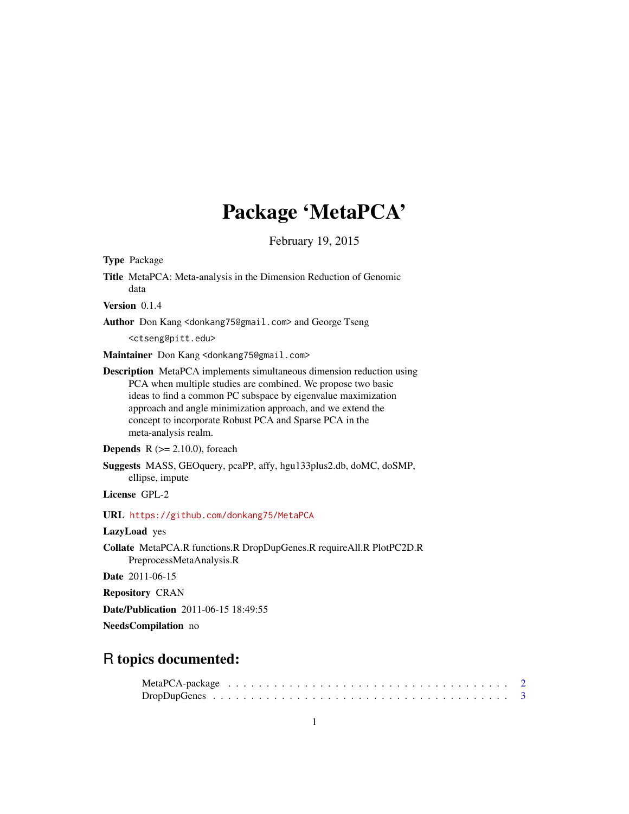# Package 'MetaPCA'

February 19, 2015

| <b>Type Package</b> |                                                                                                                                                                                                                                                                                                                                                                 |
|---------------------|-----------------------------------------------------------------------------------------------------------------------------------------------------------------------------------------------------------------------------------------------------------------------------------------------------------------------------------------------------------------|
|                     | Title MetaPCA: Meta-analysis in the Dimension Reduction of Genomic<br>data                                                                                                                                                                                                                                                                                      |
| Version 0.1.4       |                                                                                                                                                                                                                                                                                                                                                                 |
|                     | <b>Author</b> Don Kang <donkang75@gmail.com> and George Tseng</donkang75@gmail.com>                                                                                                                                                                                                                                                                             |
|                     | <ctseng@pitt.edu></ctseng@pitt.edu>                                                                                                                                                                                                                                                                                                                             |
|                     | Maintainer Don Kang <donkang75@gmail.com></donkang75@gmail.com>                                                                                                                                                                                                                                                                                                 |
|                     | <b>Description</b> MetaPCA implements simultaneous dimension reduction using<br>PCA when multiple studies are combined. We propose two basic<br>ideas to find a common PC subspace by eigenvalue maximization<br>approach and angle minimization approach, and we extend the<br>concept to incorporate Robust PCA and Sparse PCA in the<br>meta-analysis realm. |
|                     | <b>Depends</b> $R (= 2.10.0)$ , for each                                                                                                                                                                                                                                                                                                                        |
|                     | Suggests MASS, GEOquery, pcaPP, affy, hgu133plus2.db, doMC, doSMP,<br>ellipse, impute                                                                                                                                                                                                                                                                           |
| License GPL-2       |                                                                                                                                                                                                                                                                                                                                                                 |
|                     | URL https://github.com/donkang75/MetaPCA                                                                                                                                                                                                                                                                                                                        |
| LazyLoad yes        |                                                                                                                                                                                                                                                                                                                                                                 |
|                     | Collate MetaPCA.R functions.R DropDupGenes.R requireAll.R PlotPC2D.R<br>PreprocessMetaAnalysis.R                                                                                                                                                                                                                                                                |
|                     | <b>Date</b> 2011-06-15                                                                                                                                                                                                                                                                                                                                          |
|                     | <b>Repository CRAN</b>                                                                                                                                                                                                                                                                                                                                          |
|                     | <b>Date/Publication</b> 2011-06-15 18:49:55                                                                                                                                                                                                                                                                                                                     |
|                     | NeedsCompilation no                                                                                                                                                                                                                                                                                                                                             |
|                     |                                                                                                                                                                                                                                                                                                                                                                 |

### R topics documented: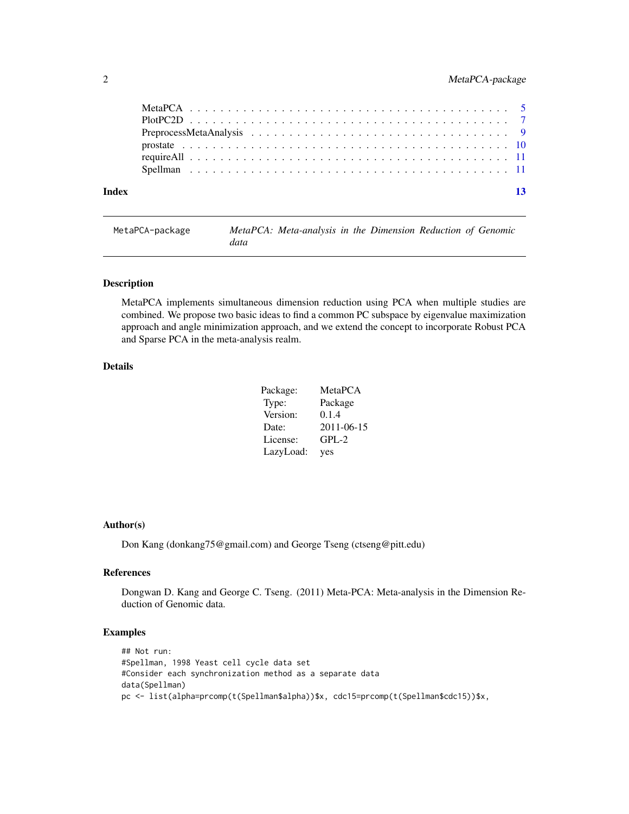<span id="page-1-0"></span>

| Index |  |  |  |  |  |  |  |  |  |  |  |  |  |  | $\overline{13}$ |
|-------|--|--|--|--|--|--|--|--|--|--|--|--|--|--|-----------------|
|       |  |  |  |  |  |  |  |  |  |  |  |  |  |  |                 |
|       |  |  |  |  |  |  |  |  |  |  |  |  |  |  |                 |
|       |  |  |  |  |  |  |  |  |  |  |  |  |  |  |                 |
|       |  |  |  |  |  |  |  |  |  |  |  |  |  |  |                 |
|       |  |  |  |  |  |  |  |  |  |  |  |  |  |  |                 |
|       |  |  |  |  |  |  |  |  |  |  |  |  |  |  |                 |

MetaPCA-package *MetaPCA: Meta-analysis in the Dimension Reduction of Genomic data*

#### Description

MetaPCA implements simultaneous dimension reduction using PCA when multiple studies are combined. We propose two basic ideas to find a common PC subspace by eigenvalue maximization approach and angle minimization approach, and we extend the concept to incorporate Robust PCA and Sparse PCA in the meta-analysis realm.

#### Details

| Package:  | MetaPCA    |
|-----------|------------|
| Type:     | Package    |
| Version:  | 0.1.4      |
| Date:     | 2011-06-15 |
| License:  | $GPL-2$    |
| LazyLoad: | yes        |

#### Author(s)

Don Kang (donkang75@gmail.com) and George Tseng (ctseng@pitt.edu)

#### References

Dongwan D. Kang and George C. Tseng. (2011) Meta-PCA: Meta-analysis in the Dimension Reduction of Genomic data.

#### Examples

```
## Not run:
#Spellman, 1998 Yeast cell cycle data set
#Consider each synchronization method as a separate data
data(Spellman)
pc <- list(alpha=prcomp(t(Spellman$alpha))$x, cdc15=prcomp(t(Spellman$cdc15))$x,
```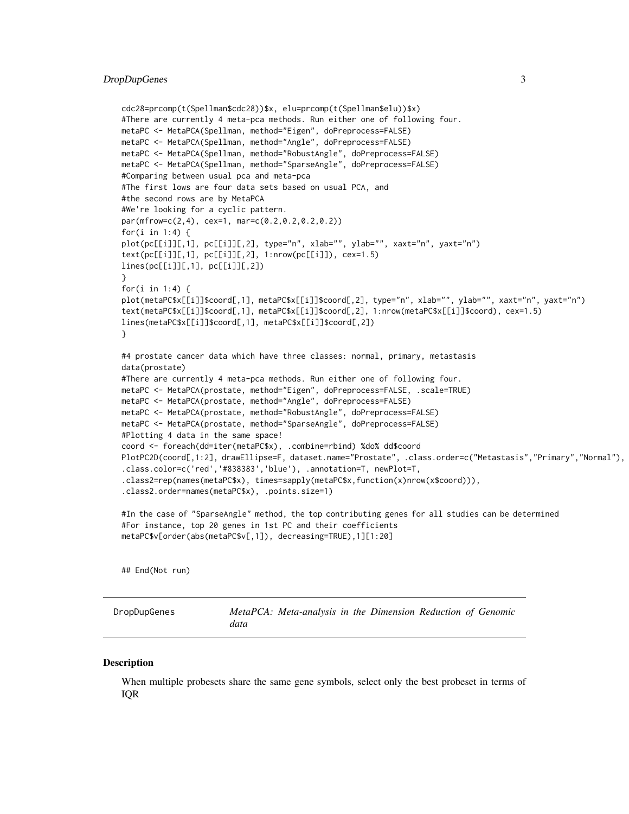#### <span id="page-2-0"></span>DropDupGenes 3

```
cdc28=prcomp(t(Spellman$cdc28))$x, elu=prcomp(t(Spellman$elu))$x)
#There are currently 4 meta-pca methods. Run either one of following four.
metaPC <- MetaPCA(Spellman, method="Eigen", doPreprocess=FALSE)
metaPC <- MetaPCA(Spellman, method="Angle", doPreprocess=FALSE)
metaPC <- MetaPCA(Spellman, method="RobustAngle", doPreprocess=FALSE)
metaPC <- MetaPCA(Spellman, method="SparseAngle", doPreprocess=FALSE)
#Comparing between usual pca and meta-pca
#The first lows are four data sets based on usual PCA, and
#the second rows are by MetaPCA
#We're looking for a cyclic pattern.
par(mfrow=c(2,4), cex=1, mar=c(0.2,0.2,0.2,0.2))
for(i in 1:4) {
plot(pc[[i]][,1], pc[[i]][,2], type="n", xlab="", ylab="", xaxt="n", yaxt="n")
text(pc[[i]][,1], pc[[i]][,2], 1:nrow(pc[[i]]), cex=1.5)
lines(pc[[i]][,1], pc[[i]][,2])
}
for(i in 1:4) {
plot(metaPC$x[[i]]$coord[,1], metaPC$x[[i]]$coord[,2], type="n", xlab="", ylab="", xaxt="n", yaxt="n")
text(metaPC$x[[i]]$coord[,1], metaPC$x[[i]]$coord[,2], 1:nrow(metaPC$x[[i]]$coord), cex=1.5)
lines(metaPC$x[[i]]$coord[,1], metaPC$x[[i]]$coord[,2])
}
#4 prostate cancer data which have three classes: normal, primary, metastasis
data(prostate)
#There are currently 4 meta-pca methods. Run either one of following four.
metaPC <- MetaPCA(prostate, method="Eigen", doPreprocess=FALSE, .scale=TRUE)
metaPC <- MetaPCA(prostate, method="Angle", doPreprocess=FALSE)
metaPC <- MetaPCA(prostate, method="RobustAngle", doPreprocess=FALSE)
metaPC <- MetaPCA(prostate, method="SparseAngle", doPreprocess=FALSE)
#Plotting 4 data in the same space!
coord <- foreach(dd=iter(metaPC$x), .combine=rbind) %do% dd$coord
PlotPC2D(coord[,1:2], drawEllipse=F, dataset.name="Prostate", .class.order=c("Metastasis","Primary","Normal"),
.class.color=c('red','#838383','blue'), .annotation=T, newPlot=T,
.class2=rep(names(metaPC$x), times=sapply(metaPC$x,function(x)nrow(x$coord))),
.class2.order=names(metaPC$x), .points.size=1)
#In the case of "SparseAngle" method, the top contributing genes for all studies can be determined
#For instance, top 20 genes in 1st PC and their coefficients
metaPC$v[order(abs(metaPC$v[,1]), decreasing=TRUE),1][1:20]
```
## End(Not run)

DropDupGenes *MetaPCA: Meta-analysis in the Dimension Reduction of Genomic data*

#### **Description**

When multiple probesets share the same gene symbols, select only the best probeset in terms of IQR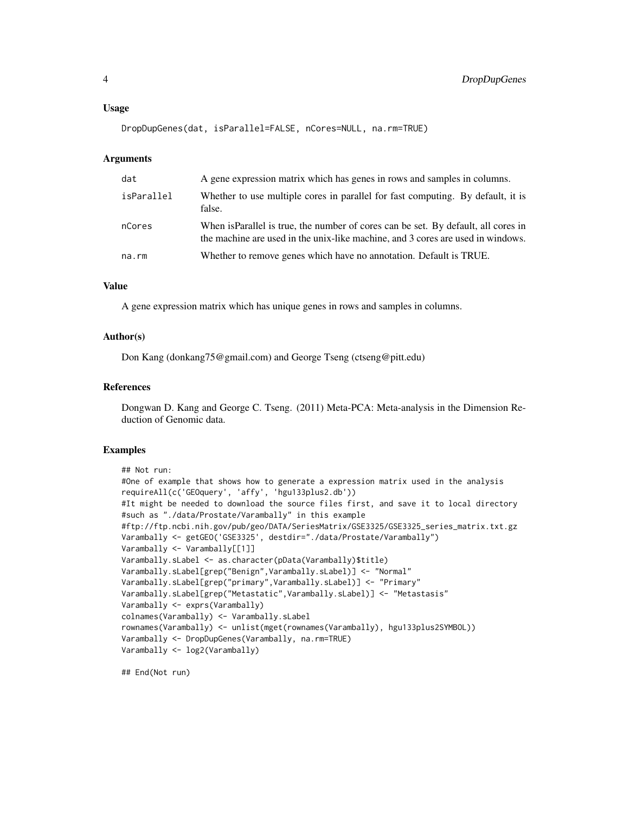#### Usage

```
DropDupGenes(dat, isParallel=FALSE, nCores=NULL, na.rm=TRUE)
```
#### Arguments

| dat        | A gene expression matrix which has genes in rows and samples in columns.                                                                                              |
|------------|-----------------------------------------------------------------------------------------------------------------------------------------------------------------------|
| isParallel | Whether to use multiple cores in parallel for fast computing. By default, it is<br>false.                                                                             |
| nCores     | When is Parallel is true, the number of cores can be set. By default, all cores in<br>the machine are used in the unix-like machine, and 3 cores are used in windows. |
| na.rm      | Whether to remove genes which have no annotation. Default is TRUE.                                                                                                    |

#### Value

A gene expression matrix which has unique genes in rows and samples in columns.

#### Author(s)

Don Kang (donkang75@gmail.com) and George Tseng (ctseng@pitt.edu)

#### References

Dongwan D. Kang and George C. Tseng. (2011) Meta-PCA: Meta-analysis in the Dimension Reduction of Genomic data.

#### Examples

```
## Not run:
#One of example that shows how to generate a expression matrix used in the analysis
requireAll(c('GEOquery', 'affy', 'hgu133plus2.db'))
#It might be needed to download the source files first, and save it to local directory
#such as "./data/Prostate/Varambally" in this example
#ftp://ftp.ncbi.nih.gov/pub/geo/DATA/SeriesMatrix/GSE3325/GSE3325_series_matrix.txt.gz
Varambally <- getGEO('GSE3325', destdir="./data/Prostate/Varambally")
Varambally <- Varambally[[1]]
Varambally.sLabel <- as.character(pData(Varambally)$title)
Varambally.sLabel[grep("Benign",Varambally.sLabel)] <- "Normal"
Varambally.sLabel[grep("primary",Varambally.sLabel)] <- "Primary"
Varambally.sLabel[grep("Metastatic",Varambally.sLabel)] <- "Metastasis"
Varambally <- exprs(Varambally)
colnames(Varambally) <- Varambally.sLabel
rownames(Varambally) <- unlist(mget(rownames(Varambally), hgu133plus2SYMBOL))
Varambally <- DropDupGenes(Varambally, na.rm=TRUE)
Varambally <- log2(Varambally)
```
## End(Not run)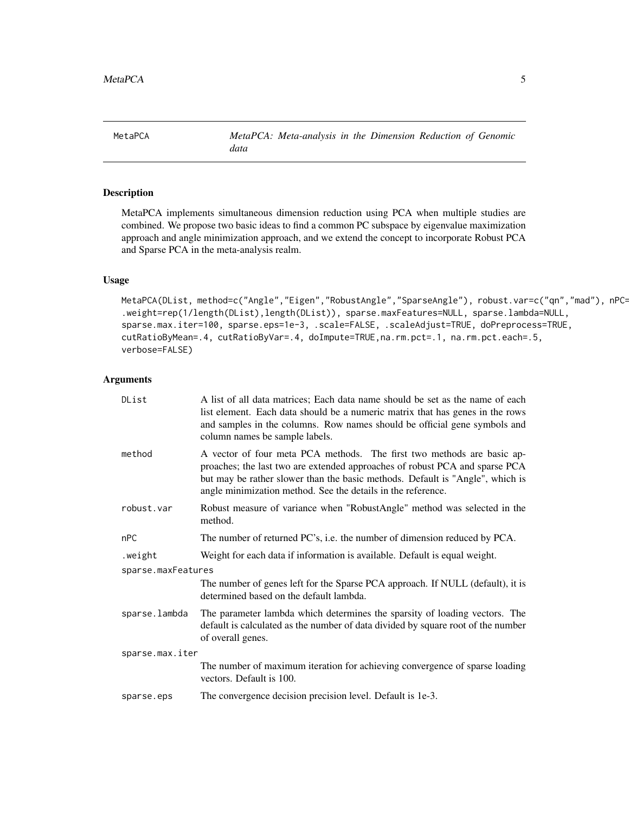<span id="page-4-0"></span>MetaPCA *MetaPCA: Meta-analysis in the Dimension Reduction of Genomic data*

### Description

MetaPCA implements simultaneous dimension reduction using PCA when multiple studies are combined. We propose two basic ideas to find a common PC subspace by eigenvalue maximization approach and angle minimization approach, and we extend the concept to incorporate Robust PCA and Sparse PCA in the meta-analysis realm.

#### Usage

```
MetaPCA(DList, method=c("Angle","Eigen","RobustAngle","SparseAngle"), robust.var=c("qn","mad"), nPC=2,
.weight=rep(1/length(DList),length(DList)), sparse.maxFeatures=NULL, sparse.lambda=NULL,
sparse.max.iter=100, sparse.eps=1e-3, .scale=FALSE, .scaleAdjust=TRUE, doPreprocess=TRUE,
cutRatioByMean=.4, cutRatioByVar=.4, doImpute=TRUE,na.rm.pct=.1, na.rm.pct.each=.5,
verbose=FALSE)
```
#### Arguments

| DList              | A list of all data matrices; Each data name should be set as the name of each<br>list element. Each data should be a numeric matrix that has genes in the rows<br>and samples in the columns. Row names should be official gene symbols and<br>column names be sample labels.                          |
|--------------------|--------------------------------------------------------------------------------------------------------------------------------------------------------------------------------------------------------------------------------------------------------------------------------------------------------|
| method             | A vector of four meta PCA methods. The first two methods are basic ap-<br>proaches; the last two are extended approaches of robust PCA and sparse PCA<br>but may be rather slower than the basic methods. Default is "Angle", which is<br>angle minimization method. See the details in the reference. |
| robust.var         | Robust measure of variance when "RobustAngle" method was selected in the<br>method.                                                                                                                                                                                                                    |
| nPC                | The number of returned PC's, i.e. the number of dimension reduced by PCA.                                                                                                                                                                                                                              |
| .weight            | Weight for each data if information is available. Default is equal weight.                                                                                                                                                                                                                             |
| sparse.maxFeatures |                                                                                                                                                                                                                                                                                                        |
|                    | The number of genes left for the Sparse PCA approach. If NULL (default), it is<br>determined based on the default lambda.                                                                                                                                                                              |
| sparse.lambda      | The parameter lambda which determines the sparsity of loading vectors. The<br>default is calculated as the number of data divided by square root of the number<br>of overall genes.                                                                                                                    |
| sparse.max.iter    |                                                                                                                                                                                                                                                                                                        |
|                    | The number of maximum iteration for achieving convergence of sparse loading<br>vectors. Default is 100.                                                                                                                                                                                                |
| sparse.eps         | The convergence decision precision level. Default is 1e-3.                                                                                                                                                                                                                                             |
|                    |                                                                                                                                                                                                                                                                                                        |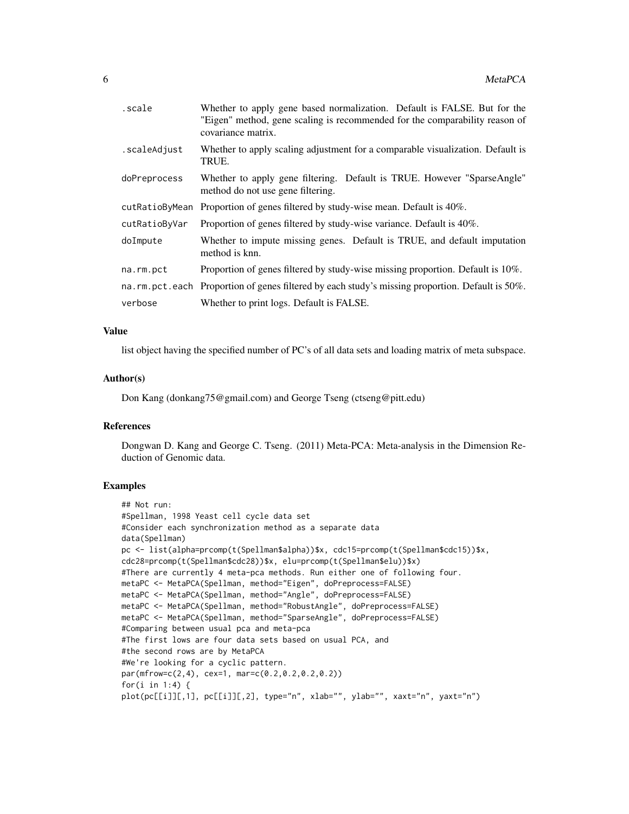| scale.         | Whether to apply gene based normalization. Default is FALSE. But for the<br>"Eigen" method, gene scaling is recommended for the comparability reason of<br>covariance matrix. |
|----------------|-------------------------------------------------------------------------------------------------------------------------------------------------------------------------------|
| .scaleAdjust   | Whether to apply scaling adjustment for a comparable visualization. Default is<br>TRUE.                                                                                       |
| doPreprocess   | Whether to apply gene filtering. Default is TRUE. However "SparseAngle"<br>method do not use gene filtering.                                                                  |
| cutRatioByMean | Proportion of genes filtered by study-wise mean. Default is 40%.                                                                                                              |
| cutRatioByVar  | Proportion of genes filtered by study-wise variance. Default is 40%.                                                                                                          |
| doImpute       | Whether to impute missing genes. Default is TRUE, and default imputation<br>method is knn.                                                                                    |
| na.rm.pct      | Proportion of genes filtered by study-wise missing proportion. Default is 10%.                                                                                                |
|                | na.rm.pct.each Proportion of genes filtered by each study's missing proportion. Default is 50%.                                                                               |
| verbose        | Whether to print logs. Default is FALSE.                                                                                                                                      |

#### Value

list object having the specified number of PC's of all data sets and loading matrix of meta subspace.

#### Author(s)

Don Kang (donkang75@gmail.com) and George Tseng (ctseng@pitt.edu)

#### References

Dongwan D. Kang and George C. Tseng. (2011) Meta-PCA: Meta-analysis in the Dimension Reduction of Genomic data.

#### Examples

```
## Not run:
#Spellman, 1998 Yeast cell cycle data set
#Consider each synchronization method as a separate data
data(Spellman)
pc <- list(alpha=prcomp(t(Spellman$alpha))$x, cdc15=prcomp(t(Spellman$cdc15))$x,
cdc28=prcomp(t(Spellman$cdc28))$x, elu=prcomp(t(Spellman$elu))$x)
#There are currently 4 meta-pca methods. Run either one of following four.
metaPC <- MetaPCA(Spellman, method="Eigen", doPreprocess=FALSE)
metaPC <- MetaPCA(Spellman, method="Angle", doPreprocess=FALSE)
metaPC <- MetaPCA(Spellman, method="RobustAngle", doPreprocess=FALSE)
metaPC <- MetaPCA(Spellman, method="SparseAngle", doPreprocess=FALSE)
#Comparing between usual pca and meta-pca
#The first lows are four data sets based on usual PCA, and
#the second rows are by MetaPCA
#We're looking for a cyclic pattern.
par(mfrow=c(2,4), cex=1, mar=c(0.2,0.2,0.2,0.2))
for(i in 1:4) {
plot(pc[[i]][,1], pc[[i]][,2], type="n", xlab="", ylab="", xaxt="n", yaxt="n")
```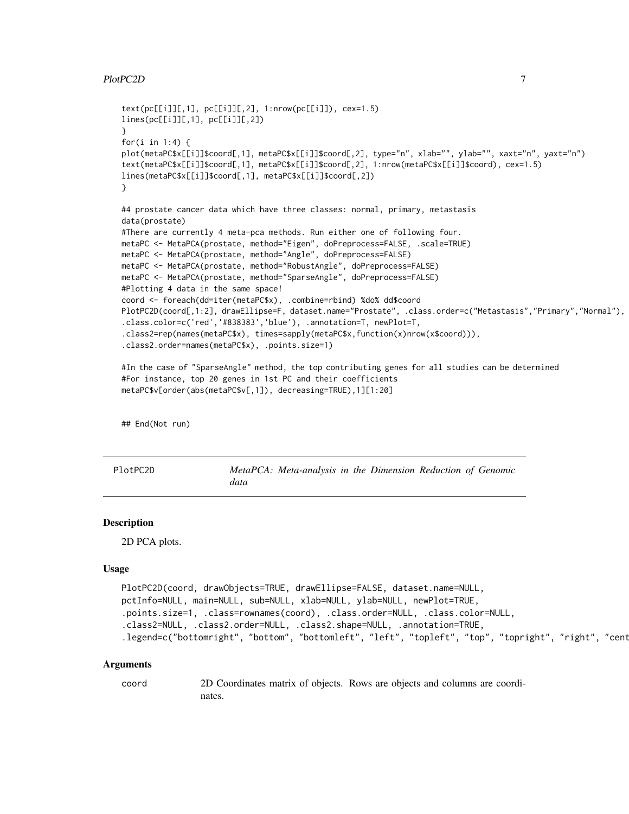#### <span id="page-6-0"></span>PlotPC2D 7

```
text(pc[[i]][,1], pc[[i]][,2], 1:nrow(pc[[i]]), cex=1.5)
lines(pc[[i]][,1], pc[[i]][,2])
}
for(i in 1:4) {
plot(metaPC$x[[i]]$coord[,1], metaPC$x[[i]]$coord[,2], type="n", xlab="", ylab="", xaxt="n", yaxt="n")
text(metaPC$x[[i]]$coord[,1], metaPC$x[[i]]$coord[,2], 1:nrow(metaPC$x[[i]]$coord), cex=1.5)
lines(metaPC$x[[i]]$coord[,1], metaPC$x[[i]]$coord[,2])
}
#4 prostate cancer data which have three classes: normal, primary, metastasis
data(prostate)
#There are currently 4 meta-pca methods. Run either one of following four.
metaPC <- MetaPCA(prostate, method="Eigen", doPreprocess=FALSE, .scale=TRUE)
metaPC <- MetaPCA(prostate, method="Angle", doPreprocess=FALSE)
metaPC <- MetaPCA(prostate, method="RobustAngle", doPreprocess=FALSE)
metaPC <- MetaPCA(prostate, method="SparseAngle", doPreprocess=FALSE)
#Plotting 4 data in the same space!
coord <- foreach(dd=iter(metaPC$x), .combine=rbind) %do% dd$coord
PlotPC2D(coord[,1:2], drawEllipse=F, dataset.name="Prostate", .class.order=c("Metastasis","Primary","Normal"),
.class.color=c('red','#838383','blue'), .annotation=T, newPlot=T,
.class2=rep(names(metaPC$x), times=sapply(metaPC$x,function(x)nrow(x$coord))),
.class2.order=names(metaPC$x), .points.size=1)
#In the case of "SparseAngle" method, the top contributing genes for all studies can be determined
#For instance, top 20 genes in 1st PC and their coefficients
```

```
metaPC$v[order(abs(metaPC$v[,1]), decreasing=TRUE),1][1:20]
```
## End(Not run)

PlotPC2D *MetaPCA: Meta-analysis in the Dimension Reduction of Genomic data*

#### Description

2D PCA plots.

#### Usage

```
PlotPC2D(coord, drawObjects=TRUE, drawEllipse=FALSE, dataset.name=NULL,
pctInfo=NULL, main=NULL, sub=NULL, xlab=NULL, ylab=NULL, newPlot=TRUE,
.points.size=1, .class=rownames(coord), .class.order=NULL, .class.color=NULL,
.class2=NULL, .class2.order=NULL, .class2.shape=NULL, .annotation=TRUE,
.legend=c("bottomright", "bottom", "bottomleft", "left", "topleft", "top", "topright", "right", "cent
```
#### Arguments

```
coord 2D Coordinates matrix of objects. Rows are objects and columns are coordi-
               nates.
```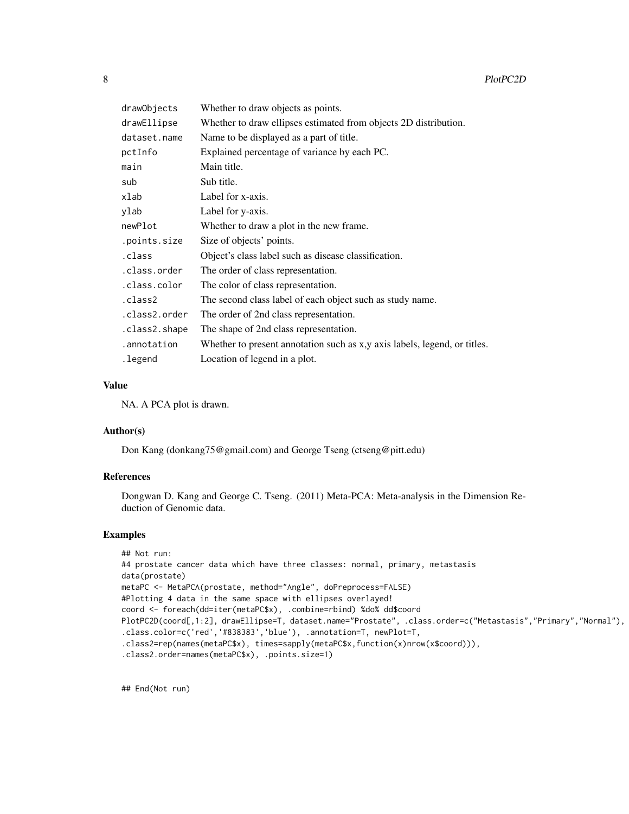| drawObjects   | Whether to draw objects as points.                                        |
|---------------|---------------------------------------------------------------------------|
| drawEllipse   | Whether to draw ellipses estimated from objects 2D distribution.          |
| dataset.name  | Name to be displayed as a part of title.                                  |
| pctInfo       | Explained percentage of variance by each PC.                              |
| main          | Main title.                                                               |
| sub           | Sub title.                                                                |
| xlab          | Label for x-axis.                                                         |
| ylab          | Label for y-axis.                                                         |
| newPlot       | Whether to draw a plot in the new frame.                                  |
| .points.size  | Size of objects' points.                                                  |
| .class        | Object's class label such as disease classification.                      |
| .class.order  | The order of class representation.                                        |
| .class.color  | The color of class representation.                                        |
| .class2       | The second class label of each object such as study name.                 |
| .class2.order | The order of 2nd class representation.                                    |
| .class2.shape | The shape of 2nd class representation.                                    |
| .annotation   | Whether to present annotation such as x,y axis labels, legend, or titles. |
| .legend       | Location of legend in a plot.                                             |

#### Value

NA. A PCA plot is drawn.

#### Author(s)

Don Kang (donkang75@gmail.com) and George Tseng (ctseng@pitt.edu)

#### References

Dongwan D. Kang and George C. Tseng. (2011) Meta-PCA: Meta-analysis in the Dimension Reduction of Genomic data.

#### Examples

```
## Not run:
#4 prostate cancer data which have three classes: normal, primary, metastasis
data(prostate)
metaPC <- MetaPCA(prostate, method="Angle", doPreprocess=FALSE)
#Plotting 4 data in the same space with ellipses overlayed!
coord <- foreach(dd=iter(metaPC$x), .combine=rbind) %do% dd$coord
PlotPC2D(coord[,1:2], drawEllipse=T, dataset.name="Prostate", .class.order=c("Metastasis","Primary","Normal"),
.class.color=c('red','#838383','blue'), .annotation=T, newPlot=T,
.class2=rep(names(metaPC$x), times=sapply(metaPC$x,function(x)nrow(x$coord))),
.class2.order=names(metaPC$x), .points.size=1)
```
## End(Not run)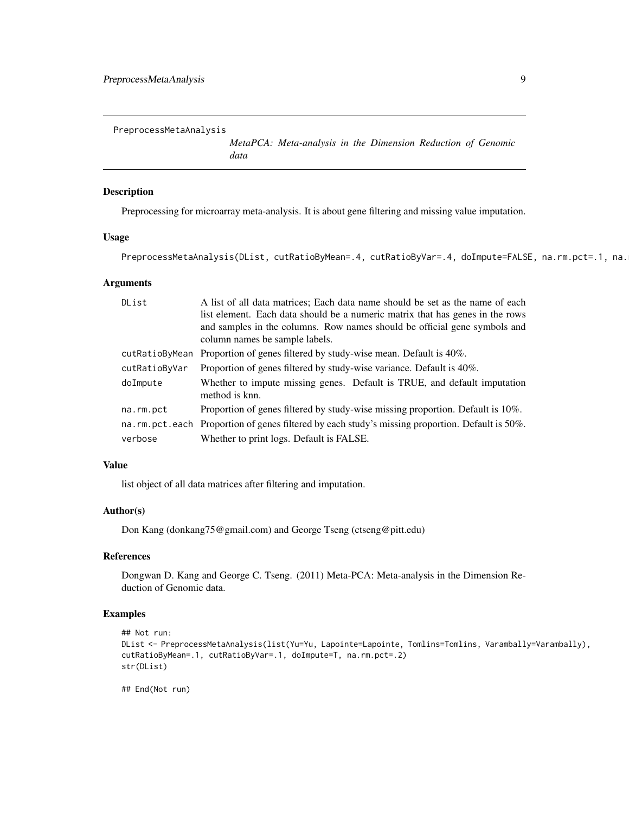<span id="page-8-0"></span>PreprocessMetaAnalysis

*MetaPCA: Meta-analysis in the Dimension Reduction of Genomic data*

#### Description

Preprocessing for microarray meta-analysis. It is about gene filtering and missing value imputation.

#### Usage

PreprocessMetaAnalysis(DList, cutRatioByMean=.4, cutRatioByVar=.4, doImpute=FALSE, na.rm.pct=.1, na.

#### Arguments

| DList          | A list of all data matrices; Each data name should be set as the name of each<br>list element. Each data should be a numeric matrix that has genes in the rows |
|----------------|----------------------------------------------------------------------------------------------------------------------------------------------------------------|
|                | and samples in the columns. Row names should be official gene symbols and<br>column names be sample labels.                                                    |
| cutRatioByMean | Proportion of genes filtered by study-wise mean. Default is 40%.                                                                                               |
| cutRatioByVar  | Proportion of genes filtered by study-wise variance. Default is 40%.                                                                                           |
| doImpute       | Whether to impute missing genes. Default is TRUE, and default imputation<br>method is knn.                                                                     |
| na.rm.pct      | Proportion of genes filtered by study-wise missing proportion. Default is 10%.                                                                                 |
|                | na.rm.pct.each Proportion of genes filtered by each study's missing proportion. Default is 50%.                                                                |
| verbose        | Whether to print logs. Default is FALSE.                                                                                                                       |

#### Value

list object of all data matrices after filtering and imputation.

#### Author(s)

Don Kang (donkang75@gmail.com) and George Tseng (ctseng@pitt.edu)

#### References

Dongwan D. Kang and George C. Tseng. (2011) Meta-PCA: Meta-analysis in the Dimension Reduction of Genomic data.

### Examples

```
## Not run:
DList <- PreprocessMetaAnalysis(list(Yu=Yu, Lapointe=Lapointe, Tomlins=Tomlins, Varambally=Varambally),
cutRatioByMean=.1, cutRatioByVar=.1, doImpute=T, na.rm.pct=.2)
str(DList)
```
## End(Not run)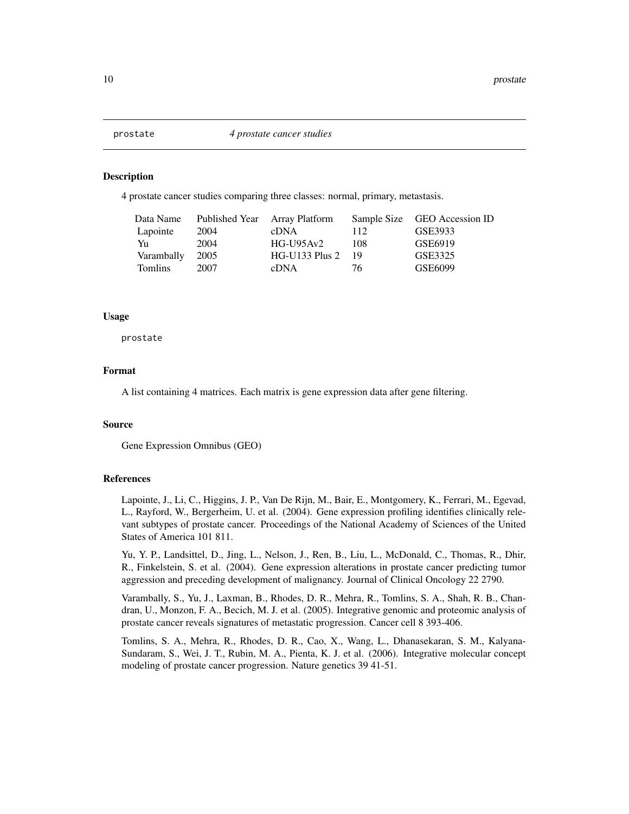<span id="page-9-0"></span>

#### Description

4 prostate cancer studies comparing three classes: normal, primary, metastasis.

| Data Name      |      | Published Year Array Platform |     | Sample Size GEO Accession ID |
|----------------|------|-------------------------------|-----|------------------------------|
| Lapointe       | 2004 | cDNA                          | 112 | GSE3933                      |
| Yu             | 2004 | $HG-U95Av2$                   | 108 | GSE6919                      |
| Varambally     | 2005 | $HG-U133$ Plus 2              | -19 | GSE3325                      |
| <b>Tomlins</b> | 2007 | <b>cDNA</b>                   | 76. | GSE6099                      |

#### Usage

prostate

#### Format

A list containing 4 matrices. Each matrix is gene expression data after gene filtering.

#### Source

Gene Expression Omnibus (GEO)

#### References

Lapointe, J., Li, C., Higgins, J. P., Van De Rijn, M., Bair, E., Montgomery, K., Ferrari, M., Egevad, L., Rayford, W., Bergerheim, U. et al. (2004). Gene expression profiling identifies clinically relevant subtypes of prostate cancer. Proceedings of the National Academy of Sciences of the United States of America 101 811.

Yu, Y. P., Landsittel, D., Jing, L., Nelson, J., Ren, B., Liu, L., McDonald, C., Thomas, R., Dhir, R., Finkelstein, S. et al. (2004). Gene expression alterations in prostate cancer predicting tumor aggression and preceding development of malignancy. Journal of Clinical Oncology 22 2790.

Varambally, S., Yu, J., Laxman, B., Rhodes, D. R., Mehra, R., Tomlins, S. A., Shah, R. B., Chandran, U., Monzon, F. A., Becich, M. J. et al. (2005). Integrative genomic and proteomic analysis of prostate cancer reveals signatures of metastatic progression. Cancer cell 8 393-406.

Tomlins, S. A., Mehra, R., Rhodes, D. R., Cao, X., Wang, L., Dhanasekaran, S. M., Kalyana-Sundaram, S., Wei, J. T., Rubin, M. A., Pienta, K. J. et al. (2006). Integrative molecular concept modeling of prostate cancer progression. Nature genetics 39 41-51.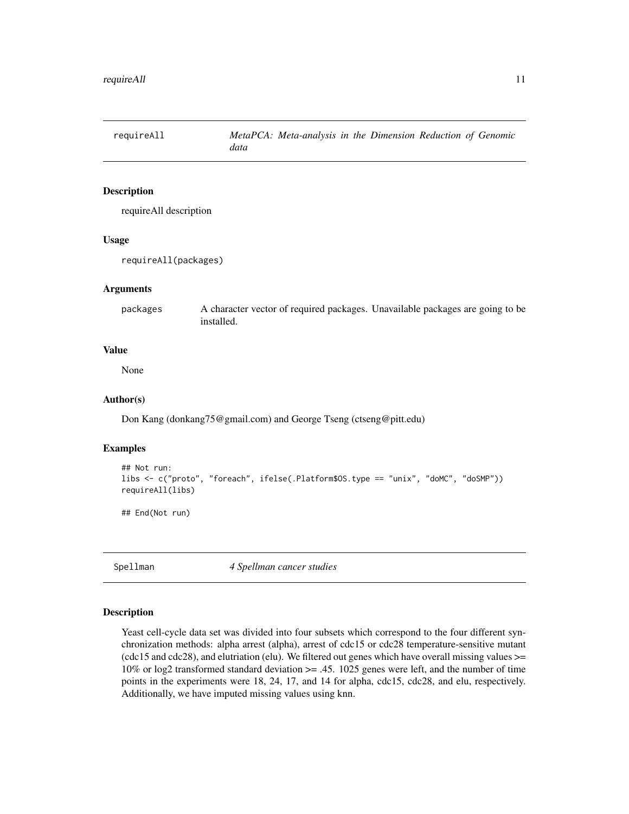<span id="page-10-0"></span>

#### Description

requireAll description

#### Usage

requireAll(packages)

#### Arguments

packages A character vector of required packages. Unavailable packages are going to be installed.

#### Value

None

#### Author(s)

Don Kang (donkang75@gmail.com) and George Tseng (ctseng@pitt.edu)

#### Examples

```
## Not run:
libs <- c("proto", "foreach", ifelse(.Platform$OS.type == "unix", "doMC", "doSMP"))
requireAll(libs)
```
## End(Not run)

Spellman *4 Spellman cancer studies*

#### Description

Yeast cell-cycle data set was divided into four subsets which correspond to the four different synchronization methods: alpha arrest (alpha), arrest of cdc15 or cdc28 temperature-sensitive mutant (cdc15 and cdc28), and elutriation (elu). We filtered out genes which have overall missing values >= 10% or log2 transformed standard deviation >= .45. 1025 genes were left, and the number of time points in the experiments were 18, 24, 17, and 14 for alpha, cdc15, cdc28, and elu, respectively. Additionally, we have imputed missing values using knn.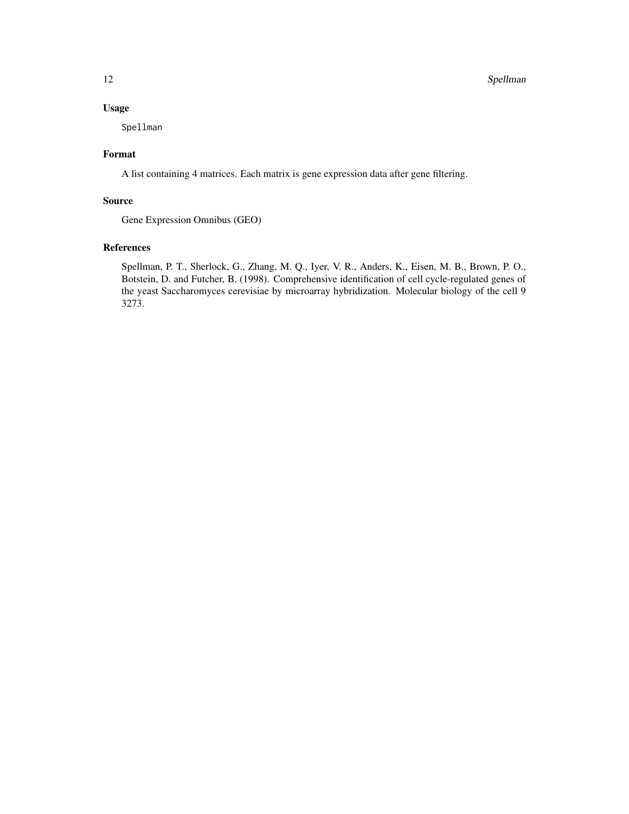#### Usage

Spellman

#### Format

A list containing 4 matrices. Each matrix is gene expression data after gene filtering.

#### Source

Gene Expression Omnibus (GEO)

#### References

Spellman, P. T., Sherlock, G., Zhang, M. Q., Iyer, V. R., Anders, K., Eisen, M. B., Brown, P. O., Botstein, D. and Futcher, B. (1998). Comprehensive identification of cell cycle-regulated genes of the yeast Saccharomyces cerevisiae by microarray hybridization. Molecular biology of the cell 9 3273.